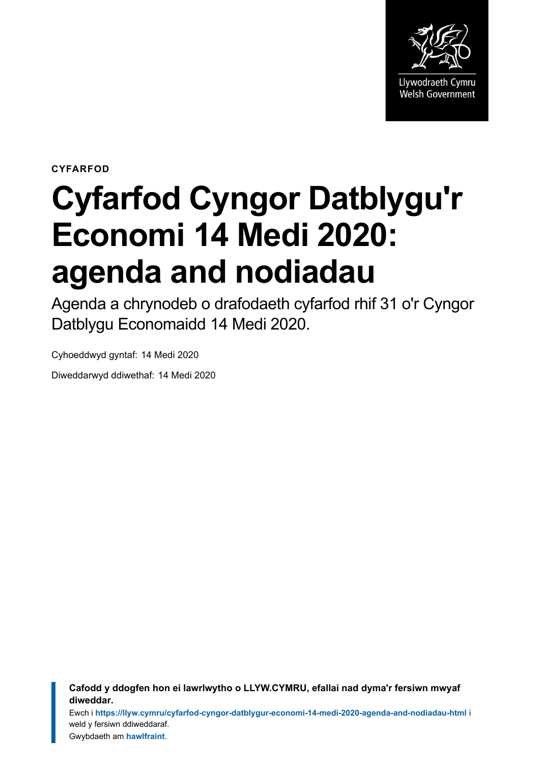

**CYFARFOD**

# **Cyfarfod Cyngor Datblygu'r Economi 14 Medi 2020: agenda and nodiadau**

Agenda a chrynodeb o drafodaeth cyfarfod rhif 31 o'r Cyngor Datblygu Economaidd 14 Medi 2020.

Cyhoeddwyd gyntaf: 14 Medi 2020

Diweddarwyd ddiwethaf: 14 Medi 2020

**Cafodd y ddogfen hon ei lawrlwytho o LLYW.CYMRU, efallai nad dyma'r fersiwn mwyaf diweddar.**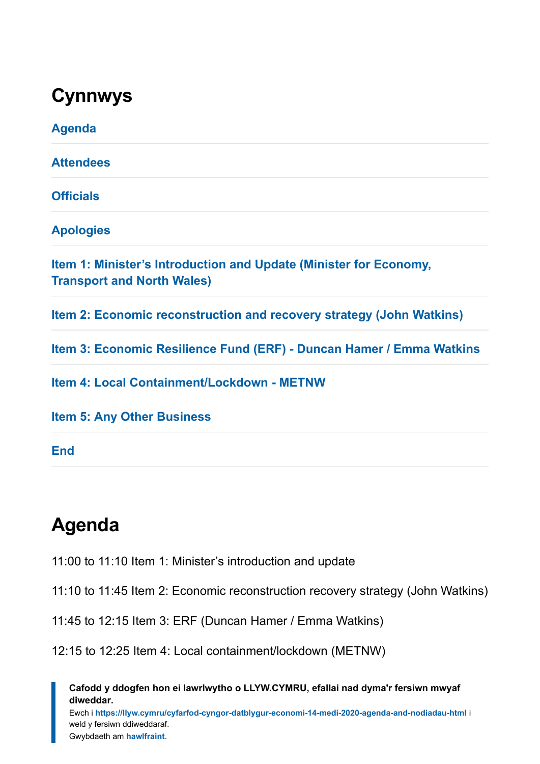### **Cynnwys**

| <b>Agenda</b>                                                                                          |
|--------------------------------------------------------------------------------------------------------|
| <b>Attendees</b>                                                                                       |
| <b>Officials</b>                                                                                       |
| <b>Apologies</b>                                                                                       |
| Item 1: Minister's Introduction and Update (Minister for Economy,<br><b>Transport and North Wales)</b> |
| Item 2: Economic reconstruction and recovery strategy (John Watkins)                                   |
| Item 3: Economic Resilience Fund (ERF) - Duncan Hamer / Emma Watkins                                   |
| Item 4: Local Containment/Lockdown - METNW                                                             |
| <b>Item 5: Any Other Business</b>                                                                      |
| <b>End</b>                                                                                             |

### <span id="page-1-0"></span>**Agenda**

11:00 to 11:10 Item 1: Minister's introduction and update

11:10 to 11:45 Item 2: Economic reconstruction recovery strategy (John Watkins)

11:45 to 12:15 Item 3: ERF (Duncan Hamer / Emma Watkins)

12:15 to 12:25 Item 4: Local containment/lockdown (METNW)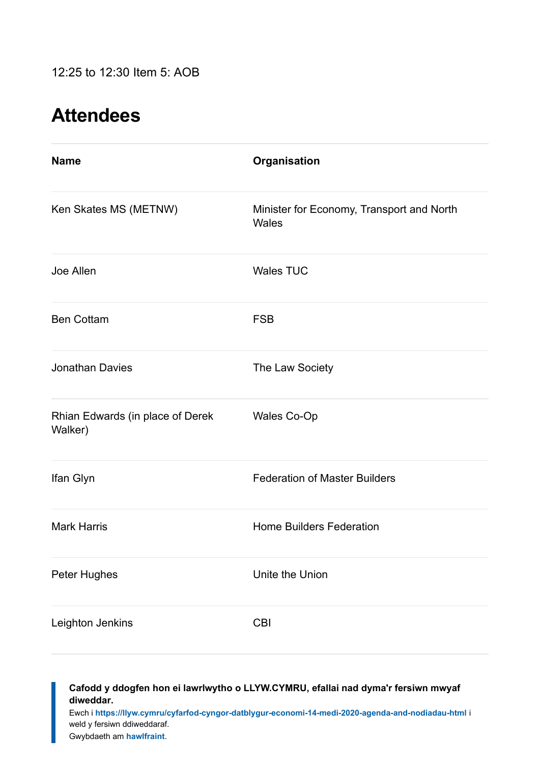### <span id="page-2-0"></span>**Attendees**

| <b>Name</b>                                 | Organisation                                       |
|---------------------------------------------|----------------------------------------------------|
| Ken Skates MS (METNW)                       | Minister for Economy, Transport and North<br>Wales |
| Joe Allen                                   | <b>Wales TUC</b>                                   |
| <b>Ben Cottam</b>                           | <b>FSB</b>                                         |
| <b>Jonathan Davies</b>                      | The Law Society                                    |
| Rhian Edwards (in place of Derek<br>Walker) | Wales Co-Op                                        |
| Ifan Glyn                                   | <b>Federation of Master Builders</b>               |
| <b>Mark Harris</b>                          | <b>Home Builders Federation</b>                    |
| Peter Hughes                                | Unite the Union                                    |
| Leighton Jenkins                            | <b>CBI</b>                                         |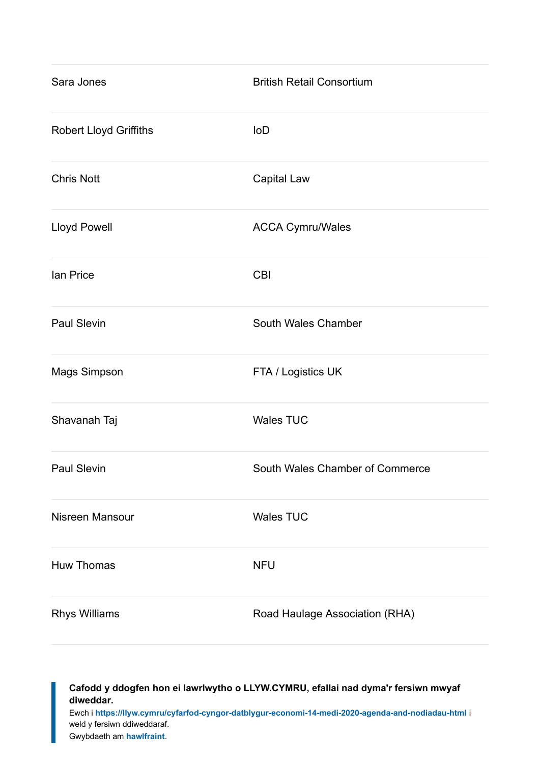| Sara Jones                    | <b>British Retail Consortium</b> |
|-------------------------------|----------------------------------|
| <b>Robert Lloyd Griffiths</b> | <b>IoD</b>                       |
| <b>Chris Nott</b>             | Capital Law                      |
| <b>Lloyd Powell</b>           | <b>ACCA Cymru/Wales</b>          |
| lan Price                     | <b>CBI</b>                       |
| <b>Paul Slevin</b>            | South Wales Chamber              |
| Mags Simpson                  | FTA / Logistics UK               |
| Shavanah Taj                  | <b>Wales TUC</b>                 |
| Paul Slevin                   | South Wales Chamber of Commerce  |
| Nisreen Mansour               | <b>Wales TUC</b>                 |
| <b>Huw Thomas</b>             | <b>NFU</b>                       |
| <b>Rhys Williams</b>          | Road Haulage Association (RHA)   |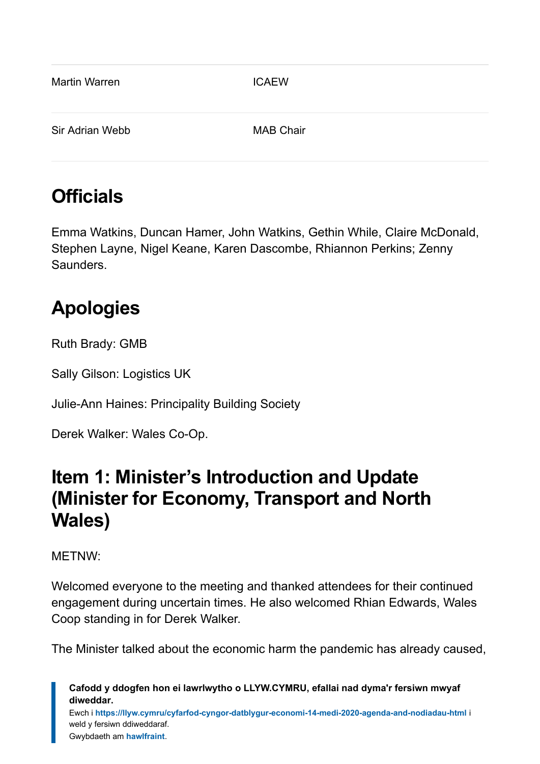| <b>Martin Warren</b> | <b>ICAEW</b>     |
|----------------------|------------------|
| Sir Adrian Webb      | <b>MAB Chair</b> |

### <span id="page-4-0"></span>**Officials**

Emma Watkins, Duncan Hamer, John Watkins, Gethin While, Claire McDonald, Stephen Layne, Nigel Keane, Karen Dascombe, Rhiannon Perkins; Zenny **Saunders** 

## <span id="page-4-1"></span>**Apologies**

Ruth Brady: GMB

Sally Gilson: Logistics UK

Julie-Ann Haines: Principality Building Society

Derek Walker: Wales Co-Op.

### <span id="page-4-2"></span>**Item 1: Minister's Introduction and Update (Minister for Economy, Transport and North Wales)**

#### METNW:

Welcomed everyone to the meeting and thanked attendees for their continued engagement during uncertain times. He also welcomed Rhian Edwards, Wales Coop standing in for Derek Walker.

The Minister talked about the economic harm the pandemic has already caused,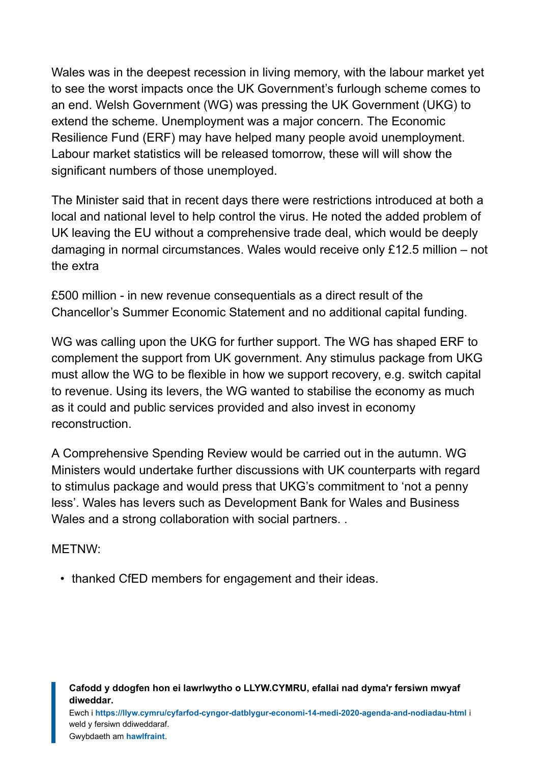Wales was in the deepest recession in living memory, with the labour market yet to see the worst impacts once the UK Government's furlough scheme comes to an end. Welsh Government (WG) was pressing the UK Government (UKG) to extend the scheme. Unemployment was a major concern. The Economic Resilience Fund (ERF) may have helped many people avoid unemployment. Labour market statistics will be released tomorrow, these will will show the significant numbers of those unemployed.

The Minister said that in recent days there were restrictions introduced at both a local and national level to help control the virus. He noted the added problem of UK leaving the EU without a comprehensive trade deal, which would be deeply damaging in normal circumstances. Wales would receive only £12.5 million – not the extra

£500 million - in new revenue consequentials as a direct result of the Chancellor's Summer Economic Statement and no additional capital funding.

WG was calling upon the UKG for further support. The WG has shaped ERF to complement the support from UK government. Any stimulus package from UKG must allow the WG to be flexible in how we support recovery, e.g. switch capital to revenue. Using its levers, the WG wanted to stabilise the economy as much as it could and public services provided and also invest in economy reconstruction.

A Comprehensive Spending Review would be carried out in the autumn. WG Ministers would undertake further discussions with UK counterparts with regard to stimulus package and would press that UKG's commitment to 'not a penny less'. Wales has levers such as Development Bank for Wales and Business Wales and a strong collaboration with social partners...

METNW:

• thanked CfED members for engagement and their ideas.

**Cafodd y ddogfen hon ei lawrlwytho o LLYW.CYMRU, efallai nad dyma'r fersiwn mwyaf diweddar.**

Ewch i **<https://llyw.cymru/cyfarfod-cyngor-datblygur-economi-14-medi-2020-agenda-and-nodiadau-html>** i weld y fersiwn ddiweddaraf.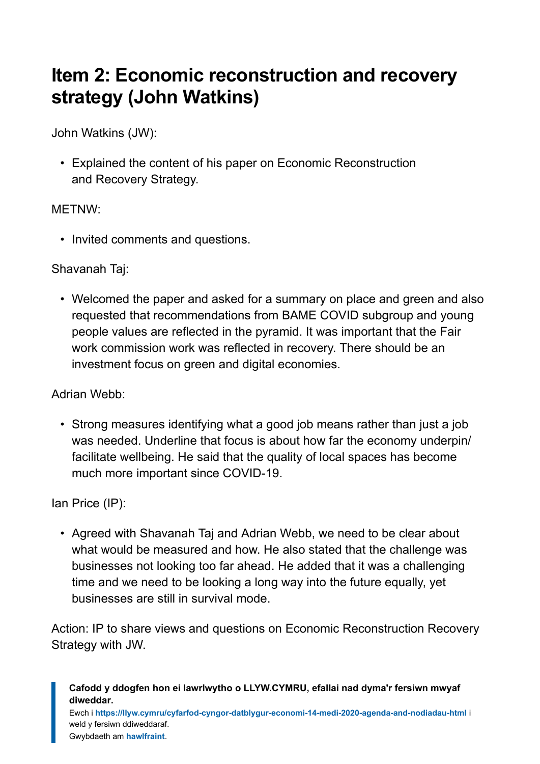### <span id="page-6-0"></span>**Item 2: Economic reconstruction and recovery strategy (John Watkins)**

John Watkins (JW):

• Explained the content of his paper on Economic Reconstruction and Recovery Strategy.

#### METNW:

• Invited comments and questions.

#### Shavanah Taj:

• Welcomed the paper and asked for a summary on place and green and also requested that recommendations from BAME COVID subgroup and young people values are reflected in the pyramid. It was important that the Fair work commission work was reflected in recovery. There should be an investment focus on green and digital economies.

Adrian Webb:

• Strong measures identifying what a good job means rather than just a job was needed. Underline that focus is about how far the economy underpin/ facilitate wellbeing. He said that the quality of local spaces has become much more important since COVID-19.

Ian Price (IP):

• Agreed with Shavanah Taj and Adrian Webb, we need to be clear about what would be measured and how. He also stated that the challenge was businesses not looking too far ahead. He added that it was a challenging time and we need to be looking a long way into the future equally, yet businesses are still in survival mode.

Action: IP to share views and questions on Economic Reconstruction Recovery Strategy with JW.

**Cafodd y ddogfen hon ei lawrlwytho o LLYW.CYMRU, efallai nad dyma'r fersiwn mwyaf diweddar.**

Ewch i **<https://llyw.cymru/cyfarfod-cyngor-datblygur-economi-14-medi-2020-agenda-and-nodiadau-html>** i weld y fersiwn ddiweddaraf.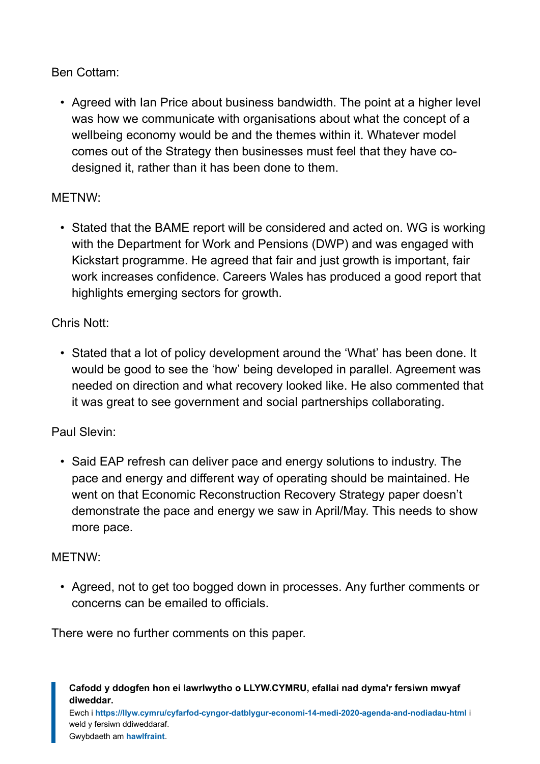#### Ben Cottam:

• Agreed with Ian Price about business bandwidth. The point at a higher level was how we communicate with organisations about what the concept of a wellbeing economy would be and the themes within it. Whatever model comes out of the Strategy then businesses must feel that they have codesigned it, rather than it has been done to them.

#### METNW:

• Stated that the BAME report will be considered and acted on. WG is working with the Department for Work and Pensions (DWP) and was engaged with Kickstart programme. He agreed that fair and just growth is important, fair work increases confidence. Careers Wales has produced a good report that highlights emerging sectors for growth.

#### Chris Nott:

• Stated that a lot of policy development around the 'What' has been done. It would be good to see the 'how' being developed in parallel. Agreement was needed on direction and what recovery looked like. He also commented that it was great to see government and social partnerships collaborating.

### Paul Slevin:

• Said EAP refresh can deliver pace and energy solutions to industry. The pace and energy and different way of operating should be maintained. He went on that Economic Reconstruction Recovery Strategy paper doesn't demonstrate the pace and energy we saw in April/May. This needs to show more pace.

#### METNW:

• Agreed, not to get too bogged down in processes. Any further comments or concerns can be emailed to officials.

There were no further comments on this paper.

**Cafodd y ddogfen hon ei lawrlwytho o LLYW.CYMRU, efallai nad dyma'r fersiwn mwyaf diweddar.**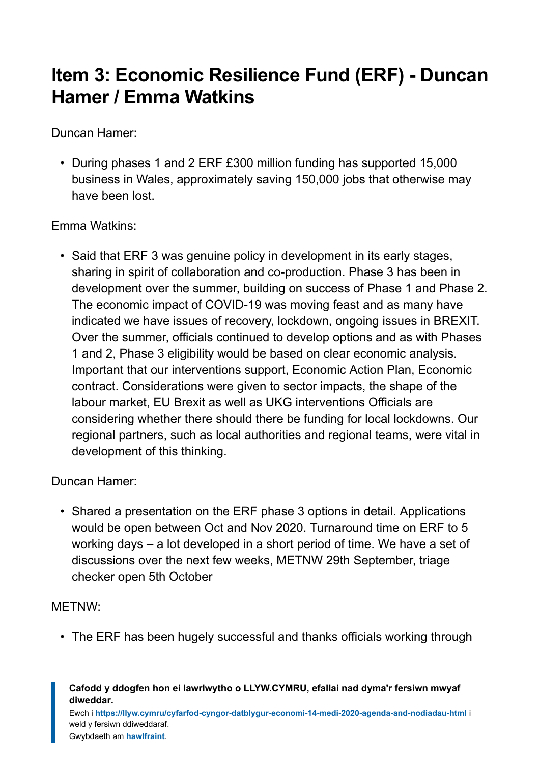### <span id="page-8-0"></span>**Item 3: Economic Resilience Fund (ERF) - Duncan Hamer / Emma Watkins**

Duncan Hamer:

• During phases 1 and 2 ERF £300 million funding has supported 15,000 business in Wales, approximately saving 150,000 jobs that otherwise may have been lost.

Emma Watkins:

• Said that ERF 3 was genuine policy in development in its early stages, sharing in spirit of collaboration and co-production. Phase 3 has been in development over the summer, building on success of Phase 1 and Phase 2. The economic impact of COVID-19 was moving feast and as many have indicated we have issues of recovery, lockdown, ongoing issues in BREXIT. Over the summer, officials continued to develop options and as with Phases 1 and 2, Phase 3 eligibility would be based on clear economic analysis. Important that our interventions support, Economic Action Plan, Economic contract. Considerations were given to sector impacts, the shape of the labour market, EU Brexit as well as UKG interventions Officials are considering whether there should there be funding for local lockdowns. Our regional partners, such as local authorities and regional teams, were vital in development of this thinking.

Duncan Hamer:

• Shared a presentation on the ERF phase 3 options in detail. Applications would be open between Oct and Nov 2020. Turnaround time on ERF to 5 working days – a lot developed in a short period of time. We have a set of discussions over the next few weeks, METNW 29th September, triage checker open 5th October

#### METNW:

• The ERF has been hugely successful and thanks officials working through

**Cafodd y ddogfen hon ei lawrlwytho o LLYW.CYMRU, efallai nad dyma'r fersiwn mwyaf diweddar.**

Ewch i **<https://llyw.cymru/cyfarfod-cyngor-datblygur-economi-14-medi-2020-agenda-and-nodiadau-html>** i weld y fersiwn ddiweddaraf.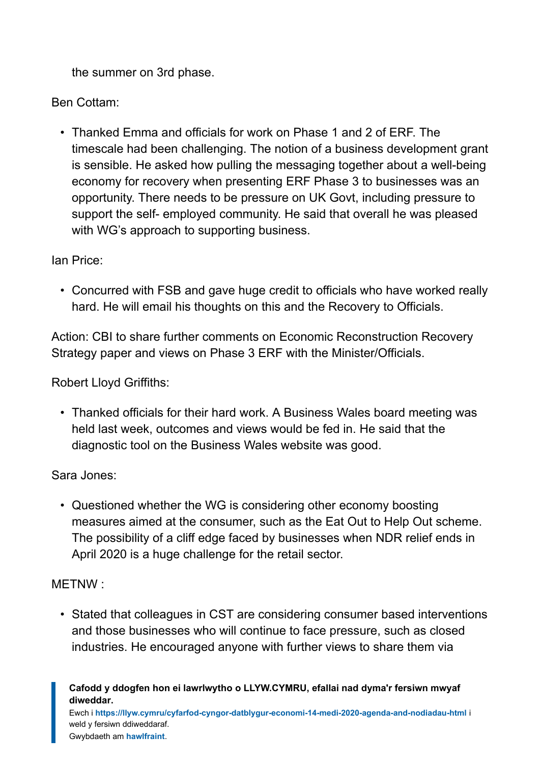the summer on 3rd phase.

Ben Cottam:

• Thanked Emma and officials for work on Phase 1 and 2 of ERF. The timescale had been challenging. The notion of a business development grant is sensible. He asked how pulling the messaging together about a well-being economy for recovery when presenting ERF Phase 3 to businesses was an opportunity. There needs to be pressure on UK Govt, including pressure to support the self- employed community. He said that overall he was pleased with WG's approach to supporting business.

Ian Price:

• Concurred with FSB and gave huge credit to officials who have worked really hard. He will email his thoughts on this and the Recovery to Officials.

Action: CBI to share further comments on Economic Reconstruction Recovery Strategy paper and views on Phase 3 ERF with the Minister/Officials.

Robert Lloyd Griffiths:

• Thanked officials for their hard work. A Business Wales board meeting was held last week, outcomes and views would be fed in. He said that the diagnostic tool on the Business Wales website was good.

Sara Jones:

• Questioned whether the WG is considering other economy boosting measures aimed at the consumer, such as the Eat Out to Help Out scheme. The possibility of a cliff edge faced by businesses when NDR relief ends in April 2020 is a huge challenge for the retail sector.

METNW :

• Stated that colleagues in CST are considering consumer based interventions and those businesses who will continue to face pressure, such as closed industries. He encouraged anyone with further views to share them via

**Cafodd y ddogfen hon ei lawrlwytho o LLYW.CYMRU, efallai nad dyma'r fersiwn mwyaf diweddar.**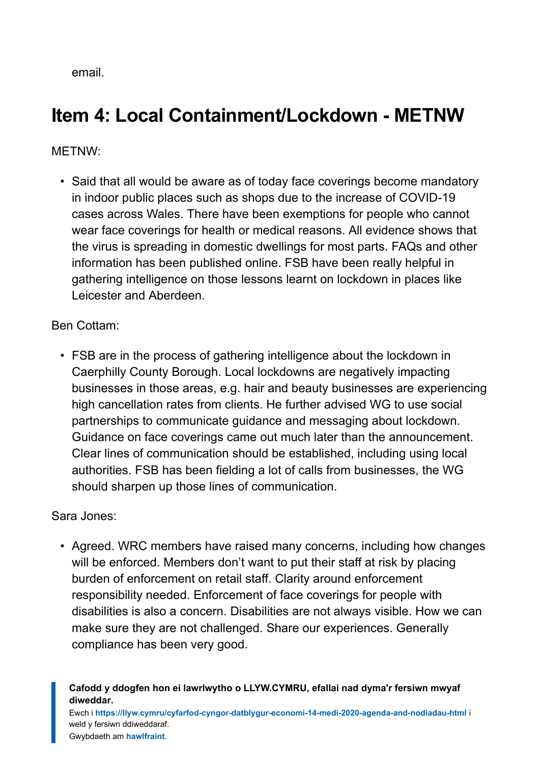email.

### <span id="page-10-0"></span>**Item 4: Local Containment/Lockdown - METNW**

#### METNW:

• Said that all would be aware as of today face coverings become mandatory in indoor public places such as shops due to the increase of COVID-19 cases across Wales. There have been exemptions for people who cannot wear face coverings for health or medical reasons. All evidence shows that the virus is spreading in domestic dwellings for most parts. FAQs and other information has been published online. FSB have been really helpful in gathering intelligence on those lessons learnt on lockdown in places like Leicester and Aberdeen.

#### Ben Cottam:

• FSB are in the process of gathering intelligence about the lockdown in Caerphilly County Borough. Local lockdowns are negatively impacting businesses in those areas, e.g. hair and beauty businesses are experiencing high cancellation rates from clients. He further advised WG to use social partnerships to communicate guidance and messaging about lockdown. Guidance on face coverings came out much later than the announcement. Clear lines of communication should be established, including using local authorities. FSB has been fielding a lot of calls from businesses, the WG should sharpen up those lines of communication.

#### Sara Jones:

• Agreed. WRC members have raised many concerns, including how changes will be enforced. Members don't want to put their staff at risk by placing burden of enforcement on retail staff. Clarity around enforcement responsibility needed. Enforcement of face coverings for people with disabilities is also a concern. Disabilities are not always visible. How we can make sure they are not challenged. Share our experiences. Generally compliance has been very good.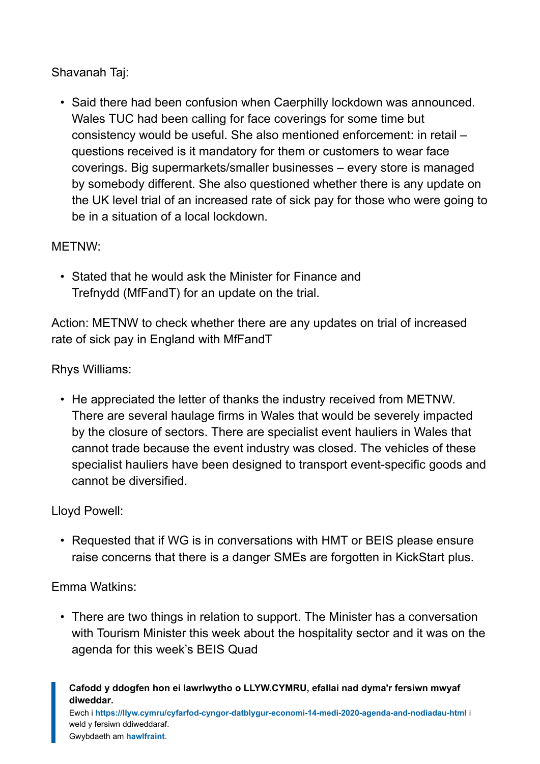Shavanah Taj:

• Said there had been confusion when Caerphilly lockdown was announced. Wales TUC had been calling for face coverings for some time but consistency would be useful. She also mentioned enforcement: in retail – questions received is it mandatory for them or customers to wear face coverings. Big supermarkets/smaller businesses – every store is managed by somebody different. She also questioned whether there is any update on the UK level trial of an increased rate of sick pay for those who were going to be in a situation of a local lockdown.

#### METNW:

• Stated that he would ask the Minister for Finance and Trefnydd (MfFandT) for an update on the trial.

Action: METNW to check whether there are any updates on trial of increased rate of sick pay in England with MfFandT

Rhys Williams:

• He appreciated the letter of thanks the industry received from METNW. There are several haulage firms in Wales that would be severely impacted by the closure of sectors. There are specialist event hauliers in Wales that cannot trade because the event industry was closed. The vehicles of these specialist hauliers have been designed to transport event-specific goods and cannot be diversified.

Lloyd Powell:

• Requested that if WG is in conversations with HMT or BEIS please ensure raise concerns that there is a danger SMEs are forgotten in KickStart plus.

Emma Watkins:

• There are two things in relation to support. The Minister has a conversation with Tourism Minister this week about the hospitality sector and it was on the agenda for this week's BEIS Quad

**Cafodd y ddogfen hon ei lawrlwytho o LLYW.CYMRU, efallai nad dyma'r fersiwn mwyaf diweddar.**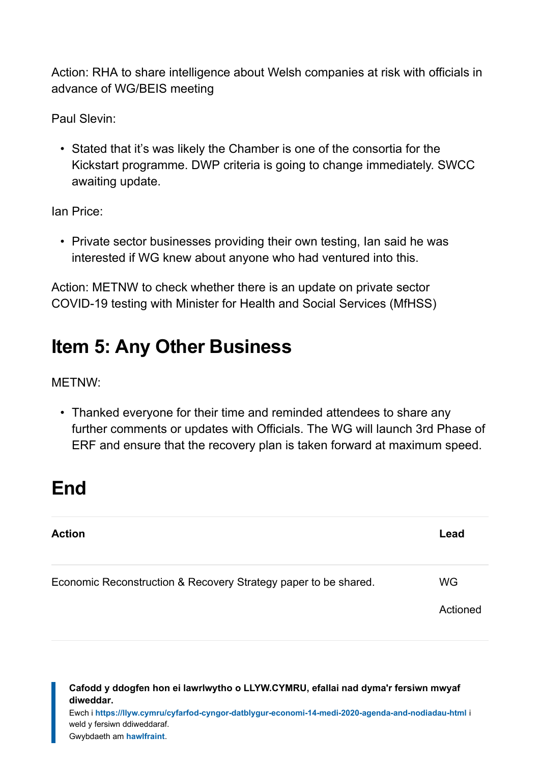Action: RHA to share intelligence about Welsh companies at risk with officials in advance of WG/BEIS meeting

Paul Slevin:

• Stated that it's was likely the Chamber is one of the consortia for the Kickstart programme. DWP criteria is going to change immediately. SWCC awaiting update.

Ian Price:

• Private sector businesses providing their own testing, Ian said he was interested if WG knew about anyone who had ventured into this.

Action: METNW to check whether there is an update on private sector COVID-19 testing with Minister for Health and Social Services (MfHSS)

### <span id="page-12-0"></span>**Item 5: Any Other Business**

METNW:

• Thanked everyone for their time and reminded attendees to share any further comments or updates with Officials. The WG will launch 3rd Phase of ERF and ensure that the recovery plan is taken forward at maximum speed.

### <span id="page-12-1"></span>**End**

| <b>Action</b>                                                   | Lead      |
|-----------------------------------------------------------------|-----------|
| Economic Reconstruction & Recovery Strategy paper to be shared. | <b>WG</b> |
|                                                                 | Actioned  |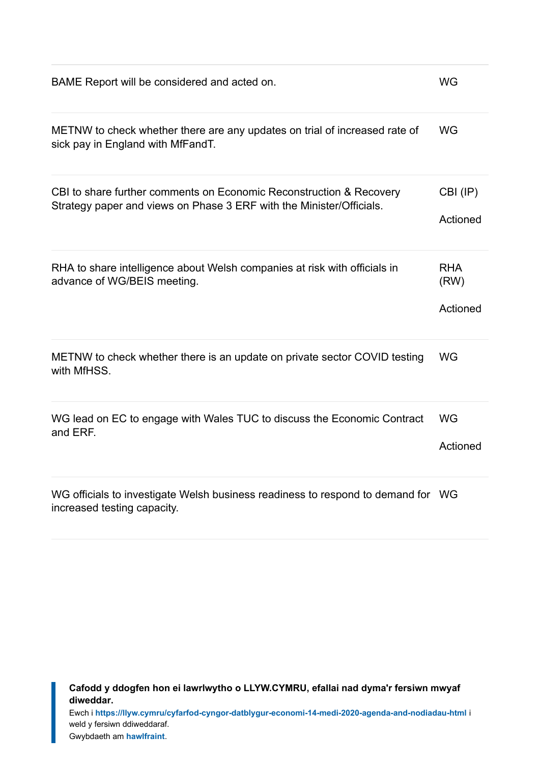| BAME Report will be considered and acted on.                                                                                                | <b>WG</b>                      |
|---------------------------------------------------------------------------------------------------------------------------------------------|--------------------------------|
| METNW to check whether there are any updates on trial of increased rate of<br>sick pay in England with MfFandT.                             | <b>WG</b>                      |
| CBI to share further comments on Economic Reconstruction & Recovery<br>Strategy paper and views on Phase 3 ERF with the Minister/Officials. | CBI (IP)<br>Actioned           |
| RHA to share intelligence about Welsh companies at risk with officials in<br>advance of WG/BEIS meeting.                                    | <b>RHA</b><br>(RW)<br>Actioned |
| METNW to check whether there is an update on private sector COVID testing<br>with MfHSS.                                                    | <b>WG</b>                      |
| WG lead on EC to engage with Wales TUC to discuss the Economic Contract<br>and ERF.                                                         | <b>WG</b><br>Actioned          |
| WG officials to investigate Welsh business readiness to respond to demand for WG<br>increased testing capacity.                             |                                |

**Cafodd y ddogfen hon ei lawrlwytho o LLYW.CYMRU, efallai nad dyma'r fersiwn mwyaf diweddar.**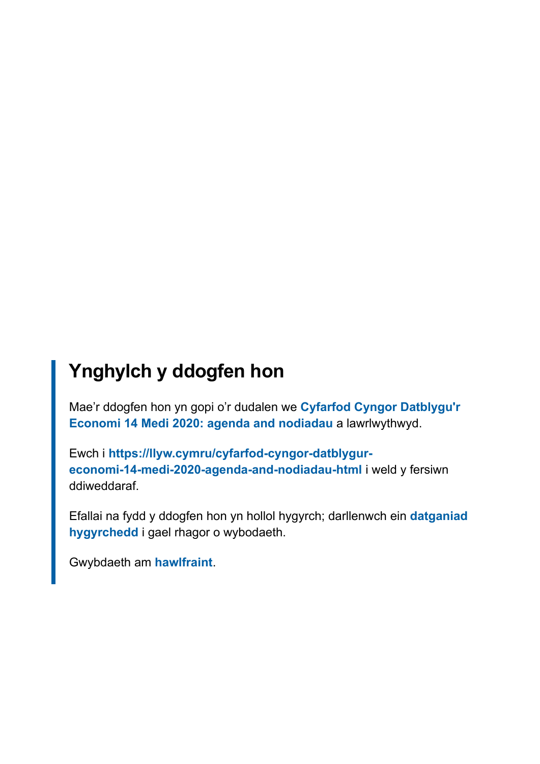### **Ynghylch y ddogfen hon**

Mae'r ddogfen hon yn gopi o'r dudalen we **[Cyfarfod Cyngor Datblygu'r](https://llyw.cymru/cyfarfod-cyngor-datblygur-economi-14-medi-2020-agenda-and-nodiadau-html) [Economi 14 Medi 2020: agenda and nodiadau](https://llyw.cymru/cyfarfod-cyngor-datblygur-economi-14-medi-2020-agenda-and-nodiadau-html)** a lawrlwythwyd.

Ewch i **[https://llyw.cymru/cyfarfod-cyngor-datblygur](https://llyw.cymru/cyfarfod-cyngor-datblygur-economi-14-medi-2020-agenda-and-nodiadau-html)[economi-14-medi-2020-agenda-and-nodiadau-html](https://llyw.cymru/cyfarfod-cyngor-datblygur-economi-14-medi-2020-agenda-and-nodiadau-html)** i weld y fersiwn ddiweddaraf.

Efallai na fydd y ddogfen hon yn hollol hygyrch; darllenwch ein **[datganiad](https://llyw.cymru/datganiad-hygyrchedd-llywcymru) [hygyrchedd](https://llyw.cymru/datganiad-hygyrchedd-llywcymru)** i gael rhagor o wybodaeth.